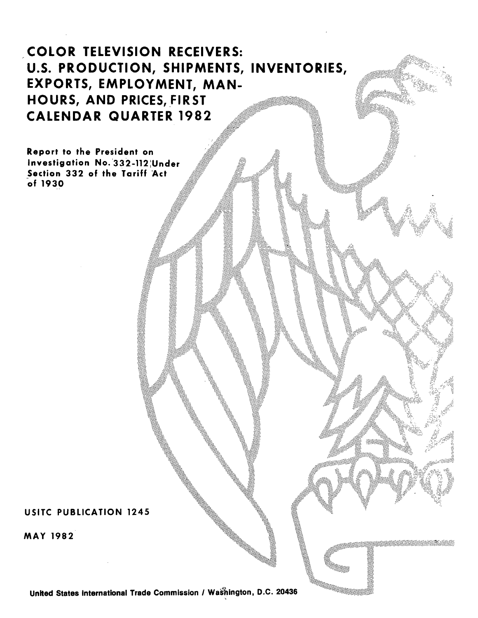# COLOR TELEVISION RECEIVERS: U.S. PRODUCTION, SHIPMENTS, INVENTORIES, EXPORTS, EMPLOYMENT, MAN-HOURS, AND PRICES, FIRST CALENDAR QUARTER 1982

Report to the President on Investigation No. 332-112 Under Section 332 of the Tariff Act of 1930

# USITC PUBLICATION 1245

MAY 1982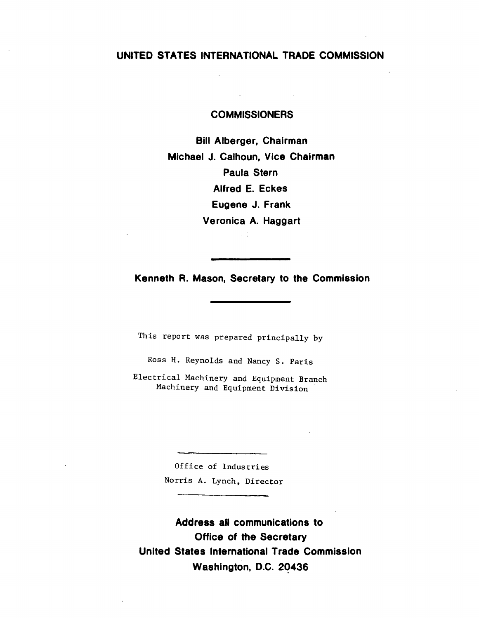# **UNITED STATES INTERNATIONAL TRADE COMMISSION**

#### **COMMISSIONERS**

**Bill Alberger, Chairman Michael J. Calhoun, Vice Chairman Paula Stern Alfred E. Eckes Eugene J. Frank Veronica A. Haggart**   $\frac{1}{2}$  .  $\epsilon$ 

**Kenneth R. Mason, Secretary to the Commission** 

This report was prepared principally by

Ross H. Reynolds and Nancy S. Paris

Electrical Machinery and Equipment Branch Machinery and Equipment Division

> Office of Industries Norris A. Lynch, Director

**Address all communications to Office of the Secretary United States International Trade Commission Washington, D.C. 2q435**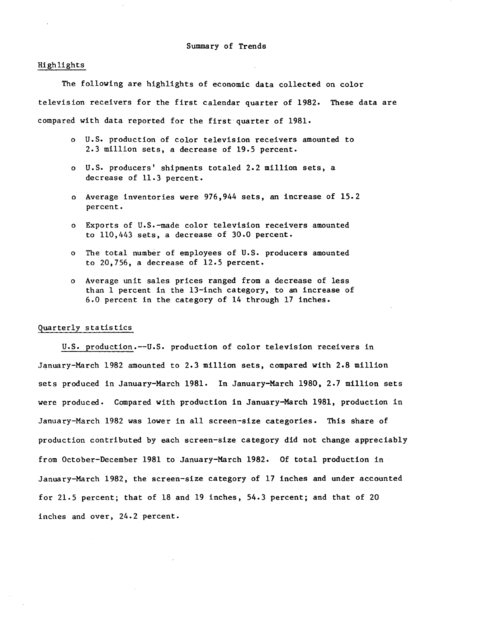#### Highlights

The following are highlights of economic data collected on color television receivers for the first calendar quarter of 1982. These data are compared with data reported for the first·quarter of 1981.

- o U.S. production of color television receivers amounted to 2.3 million sets, a decrease of 19.5 percent.
- o U.S. producers' shipments totaled 2.2 million sets, a decrease of 11.3 percent.
- o Average inventories were 976,944 sets, an increase of 15.2 percent.
- o Exports of U.S.-made color television receivers amounted to 110,443 sets, a decrease of 30.0 percent.
- o The total number of employees of U.S. producers amounted to 20,756, a decrease of 12.5 percent.
- o Average unit sales prices ranged from a decrease of less than 1 percent in the 13-inch category, to an increase of 6.0 percent in the category of 14 through 17 inches.

#### Quarterly statistics

U.S. production.--U.S. production of color television receivers in January-March 1982 amounted to 2.3 million sets, compared with 2.8 million sets produced in January-March 1981. In January-March 1980, 2.7 million sets were produced. Compared with production in January-March 1981, production in January-March 1982 was lower in all screen-size categories. This share of production contributed by each screen-size category did not change appreciably from October-December 1981 to January-March 1982. Of total production in January-March 1982, the screen-size category of 17 inches and under accounted for 21.5 percent; that of 18 and 19 inches, 54.3 percent; and that of 20 inches and over, 24.2 percent.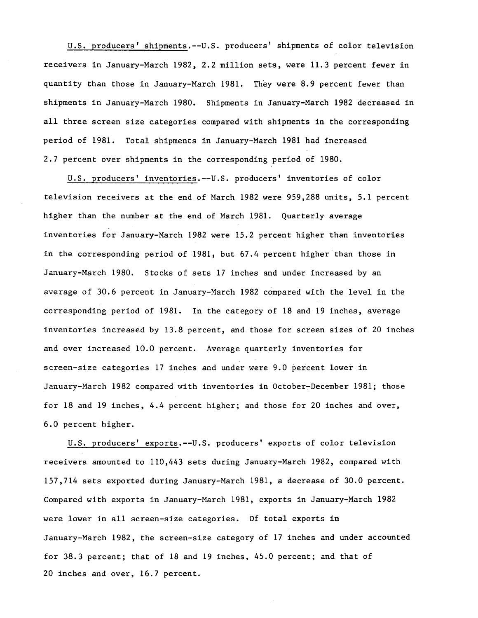U.S. producers' shipments.--U.S. producers' shipments of color television receivers in January-March 1982, 2.2 million sets, were 11.3 percent fewer in quantity than those in January-March 1981. They were 8.9 percent fewer than shipments in January-March 1980. Shipments in January-March 1982 decreased in all three screen size categories compared with shipments in the corresponding period of 1981. Total shipments in January-March 1981 had increased 2.7 percent over shipments in the corresponding period of 1980.

U.S. producers' inventories.--U.S. producers' inventories of color television receivers at the end of March 1982 were 959,288 units, 5.1 percent higher than the number at the end of March 1981. Quarterly average inventories for January-March 1982 were 15.2 percent higher than inventories in the corresponding period of 1981, but  $67.4$  percent higher than those in January-March 1980. Stocks of sets 17 inches and under increased by an average of 30.6 percent in January-March 1982 compared with the level in the corresponding period of 1981. In the category of 18 and 19 inches, average inventories increased by 13.8 percent, and those for screen sizes of 20 inches and over increased 10.0 percent. Average quarterly inventories for screen-size categories 17 inches and under were 9.0 percent lower in January-March 1982 compared with inventories in October-December 1981; those for 18 and 19 inches, 4.4 percent higher; and those for 20 inches and over, 6.0 percent higher.

U.S. producers' exports.--U.S. producers' exports of color television receivers amounted to 110,443 sets during January-March 1982, compared with 157,714 sets exported during January-March 1981, a decrease of 30.0 percent. Compared with exports in January-March 1981, exports in January-March 1982 were lower in all screen-size categories. Of total exports in January-March 1982, the screen-size category of 17 inches and under accounted for 38.3 percent; that of 18 and 19 inches, 45.0 percent; and that of 20 inches and over, 16.7 percent.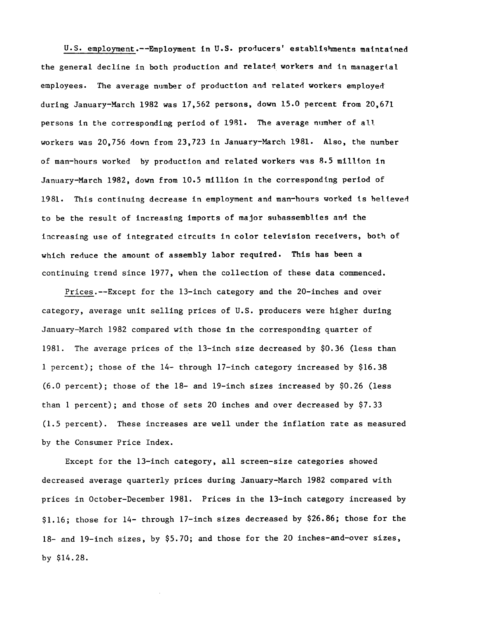U.S. employment.--Employment in U.S. producers' establishments maintained the general decline in both production and related workers and in managerial employees. The average number of production and related workers employed during January-March 1982 was 17,562 persons, down 15.0 percent from 20,671 persons in the corresponding period of 1981. The average numher of all workers was 20,756 down from 23,723 in January-March 1981. Also, the number of man-hours worked by production and related workers was 8.5 million in January-March 1982, down from 10.5 million in the corresponding period of 1981. This continuing decrease in employment and man-hours worked ls believed to be the result of increasing imports of major subassemblles and the increasing use of integrated circuits in color television receivers, both of which reduce the amount of assembly labor required. This has been a continuing trend since 1977, when the collection of these data commenced.

Prices.--Except for the 13-inch category and the 20-inches and over category, average unit selling prices of U.S. producers were higher during January-March 1982 compared with those in the corresponding quarter of 1981. The average prices of the 13-inch size decreased by \$0.36 (less than 1 percent); those of the 14- through 17-inch category increased by \$16.38 (6.0 percent); those of the 18- and 19-inch sizes increased by \$0.26 (less than 1 percent); and those of sets 20 inches and over decreased by \$7.33 (1.5 percent). These increases are well under the inflation rate as measured by the Consumer Price Index.

Except for the 13-inch category, all screen-size categories showed decreased average quarterly prices during January-March 1982 compared with prices in October-December 1981. Prices in the 13-inch category increased by \$1.16; those for 14- through 17-inch sizes decreased by \$26.86; those for the 18- and 19-inch sizes, by \$5.70; and those for the 20 inches-and-over sizes, by \$14.28.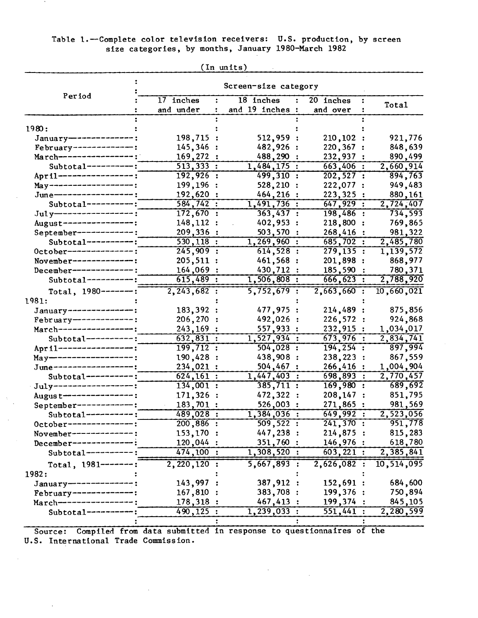## Table 1.--Complete color television receivers: U.S. production, by screen size categories, by months, January 1980-March 1982

 $\,$  ,

|                                                  | Screen-size category     |                                   |                           |                      |  |  |  |
|--------------------------------------------------|--------------------------|-----------------------------------|---------------------------|----------------------|--|--|--|
| Period                                           | 17 inches                | 18 inches<br>$\ddot{\phantom{a}}$ | 20 inches                 |                      |  |  |  |
|                                                  | and under                | and 19 inches :                   | and over                  | Total                |  |  |  |
|                                                  |                          |                                   |                           |                      |  |  |  |
| 1980:                                            |                          |                                   |                           |                      |  |  |  |
| January--------------:                           | 198,715 :                | 512,959 :                         | 210, 102:                 | 921,776              |  |  |  |
| $February$ -------------:                        | 145,346:                 | 482,926 :                         | 220,367                   | 848,639              |  |  |  |
| March-----------------:                          | 169,272:                 | 488,290                           | 232,937                   | 890,499              |  |  |  |
| Subtotal----------:                              | 513,333:                 | 1,484,175:                        | $663,406$ :               | 2,660,914            |  |  |  |
| April -----------------;                         | $192,926$ :              | 499,310 :                         | 202, 527:                 | 894,763              |  |  |  |
| $May - - - - - - - - - - - - - - :$              | 199,196 :                | 528,210 :                         | 222,077 :                 | 949,483              |  |  |  |
| June-----------------:                           | 192,620:                 | 464,216 :                         | 223,325:                  | 880,161              |  |  |  |
| $Subtotal-----$                                  | 584, 742:                | 1,491,736:                        | 647,929:                  | 2,724,407            |  |  |  |
| $July$ --------------------                      | 172,670:                 | 363,437:                          | $198,486$ :               | 734,593              |  |  |  |
| August---------------:                           | 148, 112:                | 402,953 :                         | 218,800:                  | 769,865              |  |  |  |
| September-------------:                          | 209,336:                 | 503,570 :<br>$1,269,960$ :        | 268,416:                  | 981,322              |  |  |  |
| $Subtotal-----:$<br>0ctober----------------;     | $530, 118$ :<br>245,909: | 614,528:                          | 685,702:<br>279, 135:     | 2,485,780            |  |  |  |
|                                                  | 205, 511:                | 461,568 :                         | 201,898:                  | 1,139,572<br>868,977 |  |  |  |
| November-------------:<br>December-------------: | 164,069:                 | 430,712 :                         | 185,590:                  | 780,371              |  |  |  |
| $Subtotal-----$                                  | $615,489$ :              | $1,506,808$ :                     | 666, 623:                 | 2,788,920            |  |  |  |
|                                                  | 2, 243, 682:             | 5,752,679:                        | 2,663,660:                | 10,660,021           |  |  |  |
| Total, $1980$ -------:<br>1981:                  |                          |                                   |                           |                      |  |  |  |
| January---------------:                          | 183,392 :                | 477,975:                          | 214,489:                  | 875,856              |  |  |  |
| February-------------:                           | $206, 270$ :             | 492,026 :                         | 226,572:                  | 924,868              |  |  |  |
| March-----------------                           | 243, 169:                | 557,933:                          | 232,915 :                 | 1,034,017            |  |  |  |
| $Subtotal-----:$                                 | $\overline{632,831}$ :   | 1,527,934:                        | 673,976:                  | 2,834,741            |  |  |  |
| April --------------                             | 199,712:                 | 504,028:                          | $194, 254$ :              | 897,994              |  |  |  |
| May-------------------;                          | 190,428 :                | 438,908 :                         | 238,223                   | 867,559              |  |  |  |
| $June-----$                                      | 234,021 :                | 504,467:                          | 266,416:                  | 1,004,904            |  |  |  |
| $Subtotal-----:$                                 | 624, 161:                | 1,447,403:                        | 698,893<br>$\ddot{\cdot}$ | 2,770,457            |  |  |  |
| July------------------:                          | 134,001:                 | 385,711:                          | 169,980:                  | 689,692              |  |  |  |
| Augus t---------------:                          | 171,326 :                | 472,322 :                         | 208, 147:                 | 851,795              |  |  |  |
| September-------------:                          | 183,701 :                | 526,003                           | 271,865                   | 981,569              |  |  |  |
| $Subtotal-----$                                  | $489,028$ :              | $\overline{1,384,036}$ :          | 649,992:                  | 2,523,056            |  |  |  |
| 0ctober------------                              | $200,886$ :              | 509,522 :                         | 241,370:                  | 951,778              |  |  |  |
| November-----------                              | 153,170 :                | 447,238 :                         | 214,875:                  | 815,283              |  |  |  |
| December-----------                              | 120,044 :                | 351,760:                          | 146,976:                  | 618,780              |  |  |  |
| $Subtotal-----$                                  | 474,100:                 | 1,308,520:                        | 603, 221:                 | 2,385,841            |  |  |  |
| Total, $1981$ --------                           | $2, 220, 120$ :          | 5,667,893:                        | 2,626,082:                | 10,514,095           |  |  |  |
| 1982:                                            |                          |                                   |                           |                      |  |  |  |
| January------------                              | 143,997 :                | 387,912 :                         | 152,691:                  | 684,600              |  |  |  |
| $February$ -----------                           | 167,810 :                | 383,708 :                         | 199,376 :                 | 750,894              |  |  |  |
| March------------                                | 178,318 :                | 467,413 :                         | 199,374 :                 | 845,105              |  |  |  |
| $Subtotal-----$                                  | $490, 125$ :             | 1, 239, 033:                      | 551,441:                  | 2,280,599            |  |  |  |
|                                                  |                          |                                   |                           |                      |  |  |  |

(In units)

 $\sim 10$ 

Source: Compiled from data submitted in response to questionnaires of the U.S. International Trade Commission.

 $\bar{z}$ 

 $\ddot{\phantom{a}}$ 

 $\langle \cdot, \cdot \rangle$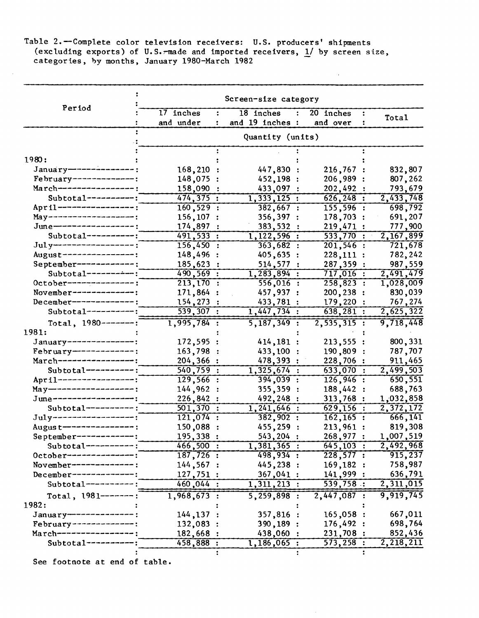Table 2.-Complete color television receivers: U.S. producers' shipments (excluding exports) of U.S. $\tau$ made and imported receivers,  $1/$  by screen size, categories, by months, January 1980-March 1982

|                                     | Screen-size category      |                                      |                        |                      |  |  |
|-------------------------------------|---------------------------|--------------------------------------|------------------------|----------------------|--|--|
| Period                              | 17 inches<br>and under    | 18 inches<br>۰.<br>and 19 inches :   | 20 inches<br>and over  | Total                |  |  |
|                                     |                           |                                      |                        |                      |  |  |
| 1980:                               |                           |                                      |                        |                      |  |  |
| January--------------               |                           |                                      |                        |                      |  |  |
| February--------------:             | 168,210<br>148,075        | 447,830:                             | 216,767<br>206,989     | 832,807              |  |  |
| March-----------------              | 158,090                   | 452,198                              | 202,492:               | 807,262<br>793,679   |  |  |
| $Subtotal-----:$                    | 474, 375:                 | 433,097<br>$\overline{1,333,125}$ :  | $626, 248$ :           | 2,433,748            |  |  |
| April ------------------            | 160, 529:                 | 382,667:                             | $155, 596$ :           | 698,792              |  |  |
| $May - - - - - - - - - - - - - - :$ | 156,107                   |                                      |                        |                      |  |  |
| June------------------              | 174,897                   | 356,397<br>$\ddot{\cdot}$<br>383,532 | 178,703:<br>219,471:   | 691,207<br>777,900   |  |  |
| $Subtotal-----$                     | 491, 533:                 | 1,122,596:                           | $\overline{533,770}$ : | 2,167,899            |  |  |
| Jul y--------------------           | 156,450:                  | 363,682:                             | $201,546$ :            | 721,678              |  |  |
| August----------------;             | 148,496                   | 405,635                              | 228,111:               | 782,242              |  |  |
| September------------;              | 185,623                   | 514,577<br>$\ddot{\cdot}$            | 287,359 :              | 987,559              |  |  |
| $Subtotal-----$                     | 490, 569:                 | 1,283,894:                           | $717,016$ :            | 2,491,479            |  |  |
| 0ctober----------------             | 213,170<br>$\ddot{\cdot}$ | $556,016$ :                          | $258,823$ :            | 1,028,009            |  |  |
| November--------------:             | 171,864                   | 457,937 :                            | 200,238 :              | 830,039              |  |  |
| $December--------------:$           | 154,273                   | 433,781 :                            | 179,220 :              | 767,274              |  |  |
| $Subtotal-----:$                    | $\overline{539,307}$ :    | 1,447,734:                           | 638, 281:              | 2,625,322            |  |  |
|                                     |                           |                                      |                        |                      |  |  |
| Total, $1980---$ ------:<br>1981:   | $1,995,784$ :             | $5, 187, 349$ :                      | $2,535,315$ :          | 9,718,448            |  |  |
| January---------------:             |                           |                                      |                        |                      |  |  |
| February--------------:             | 172,595                   | 414,181:                             | 213,555                | 800, 331             |  |  |
| March-----------------:             | 163,798                   | 433,100                              | 190,809                | 787,707              |  |  |
| Subtotal----------:                 | 204,366                   | 478,393                              | 228,706<br>633,070     | 911,465              |  |  |
| April -----------------;            | 540,759 :<br>$129,566$ :  | 1,325,674:<br>394,039:               | $126,946$ :            | 2,499,503<br>650,551 |  |  |
| $May - - - - - - - - - - - - - - :$ | 144,962                   |                                      | 188,442                | 688,763              |  |  |
| June------------------              | 226,842                   | 355,359<br>492,248<br>÷              | 313,768                | 1,032,858            |  |  |
| $Subtotal-----$                     | 501,370<br>$\ddot{\cdot}$ | $1,241,646$ :                        | 629,156:               | 2,372,172            |  |  |
| July-------------------             | $\overline{121,074}$ :    | 382,902:                             | $162, 165$ :           | 666, 141             |  |  |
| Augus t----------------             | 150,088                   | 455,259                              | 213,961:               | 819,308              |  |  |
| September-------------:             | 195,338:                  | 543,204 :                            | 268,977                | 1,007,519            |  |  |
| Subtotal----------;                 | 466,500:                  | 1,381,365:                           | $645,103$ :            | 2,492,968            |  |  |
| October---------------:             | $187,726$ :               | 498,934:                             | $\overline{228,577}$ : | 915,237              |  |  |
| November-------------:              | 144, 567:                 | 445,238:                             | 169, 182:              | 758,987              |  |  |
| $December-----$                     | 127,751:                  | 367,041:                             | 141,999:               | 636,791              |  |  |
| $Subtotal-----:$                    | $460,044$ :               | $\overline{1,311,213}$ :             | 539,758:               | 2,311,015            |  |  |
|                                     |                           |                                      |                        |                      |  |  |
| Total, $1981$ -------:              | $1,968,673$ :             | $5,259,898$ :                        | 2,447,087:             | 9,919,745            |  |  |
| 1982:                               |                           |                                      |                        |                      |  |  |
| January--------------:              | 144, 137:                 | 357,816 :                            | 165,058:               | 667,011              |  |  |
| February--------------:             | 132,083:                  | 390,189 :                            | 176,492:               | 698,764              |  |  |
| March-----------------              | 182,668                   | 438,060 :                            | 231,708 :              | 852,436              |  |  |
| $Subtotal-----:$                    | 458,888 :                 | 1,186,065:                           | $\overline{573,258}$ : | 2,218,211            |  |  |
|                                     |                           |                                      |                        |                      |  |  |

See footnote at end of table.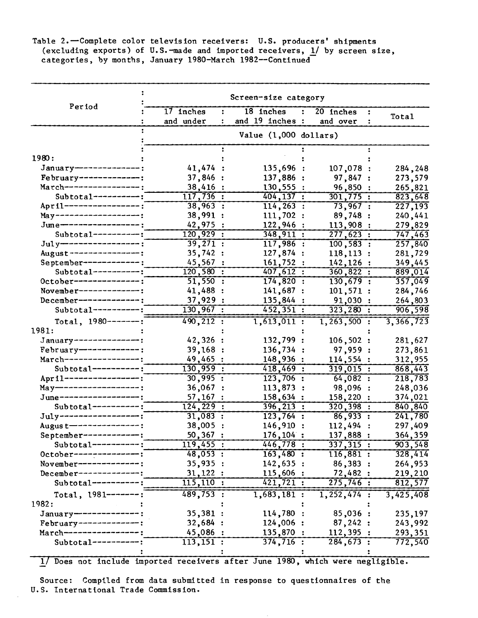Table 2.-Complete color television receivers: U.S. producers' shipments (excluding exports) of U.S.-made and imported receivers, 1/ by screen size, categories, by months, January 1980-March 1982--Continued-

|                             | Screen-size category   |                          |                             |              |  |
|-----------------------------|------------------------|--------------------------|-----------------------------|--------------|--|
| Period                      | 17 inches              | 18 inches                | 20 inches<br>$\ddot{\cdot}$ | ÷            |  |
|                             | and under              | and 19 inches :          | and over                    | Total        |  |
|                             |                        | Value $(1,000$ dollars)  |                             |              |  |
|                             |                        |                          |                             |              |  |
| 1980:                       |                        |                          |                             |              |  |
| January---------------;     | 41,474:                | 135,696:                 | 107,078 :                   | 284,248      |  |
| February--------------;     | 37,846:                | 137,886 :                | 97,847:                     | 273,579      |  |
| March----------------;      | 38,416:                | 130,555:                 | 96,850 :                    | 265,821      |  |
| $Subtotal-----:$            | $\overline{117,736}$ : | 404, 137:                | $301,775$ :                 | 823,648      |  |
| April -------------------   | $38,963$ :             | $114, 263$ :             | 73,967:                     | 227,193      |  |
| May------------------;      | 38,991:                | 111,702:                 | 89,748:                     | 240,441      |  |
| June------------------      | 42,975:                | 122,946 :                | 113,908:                    | 279,829      |  |
| $Subtotal-----$             | $120,929$ :            | 348,911:                 | 277,623:                    | 747,463      |  |
| $July$ -------------------- | 39,271:                | 117,986:                 | $100, 583$ :                | 257,840      |  |
| August----------------;     | 35,742:                | 127,874 :                | 118, 113:                   | 281,729      |  |
| September------------:      | 45,567:                | 161,752:                 | 142, 126:                   | 349,445      |  |
| $Subtotal-----:$            | 120,580:               | 407,612:                 | 360,822:                    | 889,014      |  |
| October---------------;     | $\overline{51,550}$ :  | 174,820:                 | $130,679$ :                 | 357,049      |  |
| November--------------;     | 41,488:                | 141,687:                 | 101,571:                    | 284,746      |  |
| $December$ --------------;  | 37,929:                | 135,844 :                | 91,030:                     | 264,803      |  |
| $Subtotal-----:$            | $130,967$ :            | 452,351:                 | $323,280$ :                 | 906,598      |  |
| Total, $1980---$ ------:    | 490, 212:              | 1,613,011:               | $1, 263, 500$ :             | 3,366,723    |  |
| 1981:                       |                        |                          |                             |              |  |
| January--------------:      | 42,326:                | 132,799 :                | 106,502                     | 281,627<br>: |  |
| February--------------:     | 39,168:                | 136,734 :                | 97,959                      | 273,861      |  |
| March----------------:      | 49,465:                | 148,936 :                | 114,554                     | 312,955      |  |
| $Subtotal-----:$            | $130,959$ :            | 418,469:                 | 319,015                     | 868,443      |  |
| April-----------------;     | 30,995:                | $123,706$ :              | 64,082:                     | 218,783      |  |
| May-------------------:     | 36,067 :               | 113,873                  | 98,096                      | 248,036      |  |
| June-------------------     | 57,167:                | 158,634:                 | 158,220                     | 374,021      |  |
| $Subtotal-----:$            | 124, 229:              | $396, 213$ :             | $320,398$ :                 | 840,840      |  |
| $July$ -------------------  | $31,083$ :             | $\overline{123,764}$ :   | 86,933:                     | 241,780      |  |
| Augus t---------------:     | $38,005$ :             | 146,910                  | 112,494                     | 297,409      |  |
| September-------------:     | $50,367$ :             | 176,104 :                | 137,888:                    | 364,359      |  |
| $Subtotal-----$             | $119,455$ :            | 446,778:                 | 337,315:                    | 903,548      |  |
| October---------------:     | 48,053:                | 163,480:                 | 116,881:                    | 328,414      |  |
| November--------------:     | 35,935:                | 142,635:                 | 86,383:                     | 264,953      |  |
| $December-----------$       | 31,122:                | 115,606:                 | 72,482:                     | 219,210      |  |
| Subtotal----------:         | 115,110:               | 421,721:                 | 275,746:                    | 812,577      |  |
| Total, $1981$ -------:      | $489,753$ :            | $\overline{1,683,181}$ : | $\overline{1,252,474}$ :    | 3,425,408    |  |
| 1982:                       |                        |                          |                             |              |  |
| January--------------:      | 35,381:                | 114,780:                 | 85,036:                     | 235,197      |  |
| February--------------:     | 32,684:                | 124,006 :                | 87,242:                     | 243,992      |  |
| March-----------------;     | 45,086                 | 135,870 :                | 112,395:                    | 293,351      |  |
| Subtotal-----------:        | 113, 151:              | $\overline{374,716}$ :   | 284,673:                    | 772,540      |  |
|                             |                        |                          |                             |              |  |

1/ Does not include imported receivers after June 1980, which were negligible.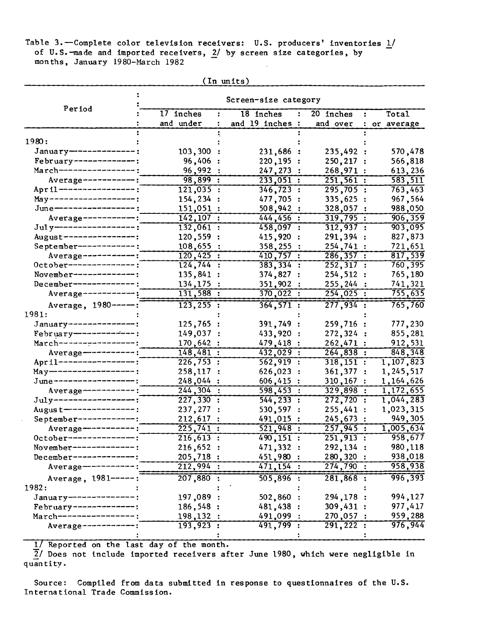Table 3.-Complete color television receivers: U.S. producers' inventories 1/ of U.S.-made and imported receivers, 2/ by screen size categories, by months, January 1980-March 1982

| 17 inches<br>18 inches<br>20 inches<br><b>Total</b><br>÷<br>$\ddot{\cdot}$<br>and under<br>and 19 inches :<br>and over<br>$\ddot{\bullet}$<br>or average<br>1980:<br>January---------------;<br>103,300<br>231,686:<br>235,492<br>570,478<br>February--------------:<br>96,406<br>220, 195:<br>250,217<br>566,818<br>March----------------<br>96,992<br>247, 273:<br>268,971 :<br>613,236<br>Average------------:<br>$98,899$ :<br>583,511<br>233,051:<br>251,561:<br>April -----------------;<br>295,705:<br>121,035:<br>$346, 723$ :<br>763,463<br>$May - - - - - - - - - - - - - - :$<br>335,625 :<br>154,234<br>477,705<br>967,564<br>June-----------------;<br>151,051:<br>508,942<br>328,057<br>988,050<br>$Average-----$<br>$142, 107$ :<br>444, 456:<br>319,795:<br>906,359<br>Jul y-------------------<br>132,061:<br>458,097:<br>312,937:<br>903,095<br>August----------------;<br>120,559 :<br>415,920<br>291,394 :<br>827,873<br>September------------:<br>108,655<br>721,651<br>358,255<br>254,741:<br>$120,425$ :<br>Average ------------:<br>410,757:<br>286, 357:<br>$8\overline{17,539}$<br>124,744:<br>October---------------;<br>383, 334 :<br>252,317:<br>760,395<br>November-------------:<br>135,841:<br>374,827 :<br>254, 512:<br>765,180<br>134,175<br>December--------------<br>351,902<br>255, 244:<br>741,321<br>370,022:<br>254,025:<br>755,635<br>131,588:<br>$Average-----$<br>277,934:<br>$\overline{123, 255}$ :<br>765,760<br>364, 571:<br>Average, 1980 -----<br>1981:<br>January ---------------:<br>125,765:<br>391,749:<br>259,716 :<br>777,230<br>$February$ -------------<br>149,037:<br>433,920 :<br>272, 324:<br>855,281<br>March-----------------;<br>170,642 :<br>262,471 :<br>912,531<br>479,418 :<br>Average-----------:<br>148,481:<br>848,348<br>432,029 :<br>264,838:<br>April -------------------<br>1,107,823<br>226,753:<br>$562,919$ :<br>$318,151$ :<br>$May - - - - - - - - - - - - -$ :<br>258,117:<br>626,023 :<br>1,245,517<br>361,377<br>June------------------;<br>248,044:<br>$606,415$ :<br>$310, 167$ :<br>1,164,626<br>Average-----------:<br>244, 304:<br>598,453:<br>$329,898$ :<br>$\overline{1,172,655}$<br>$July----------$<br>1,044,283<br>227,330:<br>544, 233:<br>272,720:<br>Augus t----------------:<br>237,277<br>255,441:<br>1,023,315<br>530,597<br>September-------------:<br>949,305<br>212,617<br>491,015<br>245,673 :<br>Average-----------:<br>225,741:<br>521,948:<br>257,945:<br>1,005,634<br>958,677<br>0ctober---------------:<br>$251,913$ :<br>$\overline{216,613}$ :<br>490, 151:<br>471,332 :<br>292,134 :<br>980,118<br>November--------------:<br>216,652:<br>451,980<br>280,320 :<br>938,018<br>205,718:<br>December-----------<br>274,790:<br>212,994:<br>471,154:<br>958,938<br>$Average ---$ |                     | Screen-size category |          |             |         |  |  |
|---------------------------------------------------------------------------------------------------------------------------------------------------------------------------------------------------------------------------------------------------------------------------------------------------------------------------------------------------------------------------------------------------------------------------------------------------------------------------------------------------------------------------------------------------------------------------------------------------------------------------------------------------------------------------------------------------------------------------------------------------------------------------------------------------------------------------------------------------------------------------------------------------------------------------------------------------------------------------------------------------------------------------------------------------------------------------------------------------------------------------------------------------------------------------------------------------------------------------------------------------------------------------------------------------------------------------------------------------------------------------------------------------------------------------------------------------------------------------------------------------------------------------------------------------------------------------------------------------------------------------------------------------------------------------------------------------------------------------------------------------------------------------------------------------------------------------------------------------------------------------------------------------------------------------------------------------------------------------------------------------------------------------------------------------------------------------------------------------------------------------------------------------------------------------------------------------------------------------------------------------------------------------------------------------------------------------------------------------------------------------------------------------------------------------------------------------------------------------------------------------------------------------------------------------------------------------------------------------------------------------------------------------------------------------------------------------------------------------------------------------------------------------------------------|---------------------|----------------------|----------|-------------|---------|--|--|
|                                                                                                                                                                                                                                                                                                                                                                                                                                                                                                                                                                                                                                                                                                                                                                                                                                                                                                                                                                                                                                                                                                                                                                                                                                                                                                                                                                                                                                                                                                                                                                                                                                                                                                                                                                                                                                                                                                                                                                                                                                                                                                                                                                                                                                                                                                                                                                                                                                                                                                                                                                                                                                                                                                                                                                                             | Period              |                      |          |             |         |  |  |
|                                                                                                                                                                                                                                                                                                                                                                                                                                                                                                                                                                                                                                                                                                                                                                                                                                                                                                                                                                                                                                                                                                                                                                                                                                                                                                                                                                                                                                                                                                                                                                                                                                                                                                                                                                                                                                                                                                                                                                                                                                                                                                                                                                                                                                                                                                                                                                                                                                                                                                                                                                                                                                                                                                                                                                                             |                     |                      |          |             |         |  |  |
|                                                                                                                                                                                                                                                                                                                                                                                                                                                                                                                                                                                                                                                                                                                                                                                                                                                                                                                                                                                                                                                                                                                                                                                                                                                                                                                                                                                                                                                                                                                                                                                                                                                                                                                                                                                                                                                                                                                                                                                                                                                                                                                                                                                                                                                                                                                                                                                                                                                                                                                                                                                                                                                                                                                                                                                             |                     |                      |          |             |         |  |  |
|                                                                                                                                                                                                                                                                                                                                                                                                                                                                                                                                                                                                                                                                                                                                                                                                                                                                                                                                                                                                                                                                                                                                                                                                                                                                                                                                                                                                                                                                                                                                                                                                                                                                                                                                                                                                                                                                                                                                                                                                                                                                                                                                                                                                                                                                                                                                                                                                                                                                                                                                                                                                                                                                                                                                                                                             |                     |                      |          |             |         |  |  |
|                                                                                                                                                                                                                                                                                                                                                                                                                                                                                                                                                                                                                                                                                                                                                                                                                                                                                                                                                                                                                                                                                                                                                                                                                                                                                                                                                                                                                                                                                                                                                                                                                                                                                                                                                                                                                                                                                                                                                                                                                                                                                                                                                                                                                                                                                                                                                                                                                                                                                                                                                                                                                                                                                                                                                                                             |                     |                      |          |             |         |  |  |
|                                                                                                                                                                                                                                                                                                                                                                                                                                                                                                                                                                                                                                                                                                                                                                                                                                                                                                                                                                                                                                                                                                                                                                                                                                                                                                                                                                                                                                                                                                                                                                                                                                                                                                                                                                                                                                                                                                                                                                                                                                                                                                                                                                                                                                                                                                                                                                                                                                                                                                                                                                                                                                                                                                                                                                                             |                     |                      |          |             |         |  |  |
|                                                                                                                                                                                                                                                                                                                                                                                                                                                                                                                                                                                                                                                                                                                                                                                                                                                                                                                                                                                                                                                                                                                                                                                                                                                                                                                                                                                                                                                                                                                                                                                                                                                                                                                                                                                                                                                                                                                                                                                                                                                                                                                                                                                                                                                                                                                                                                                                                                                                                                                                                                                                                                                                                                                                                                                             |                     |                      |          |             |         |  |  |
|                                                                                                                                                                                                                                                                                                                                                                                                                                                                                                                                                                                                                                                                                                                                                                                                                                                                                                                                                                                                                                                                                                                                                                                                                                                                                                                                                                                                                                                                                                                                                                                                                                                                                                                                                                                                                                                                                                                                                                                                                                                                                                                                                                                                                                                                                                                                                                                                                                                                                                                                                                                                                                                                                                                                                                                             |                     |                      |          |             |         |  |  |
|                                                                                                                                                                                                                                                                                                                                                                                                                                                                                                                                                                                                                                                                                                                                                                                                                                                                                                                                                                                                                                                                                                                                                                                                                                                                                                                                                                                                                                                                                                                                                                                                                                                                                                                                                                                                                                                                                                                                                                                                                                                                                                                                                                                                                                                                                                                                                                                                                                                                                                                                                                                                                                                                                                                                                                                             |                     |                      |          |             |         |  |  |
|                                                                                                                                                                                                                                                                                                                                                                                                                                                                                                                                                                                                                                                                                                                                                                                                                                                                                                                                                                                                                                                                                                                                                                                                                                                                                                                                                                                                                                                                                                                                                                                                                                                                                                                                                                                                                                                                                                                                                                                                                                                                                                                                                                                                                                                                                                                                                                                                                                                                                                                                                                                                                                                                                                                                                                                             |                     |                      |          |             |         |  |  |
|                                                                                                                                                                                                                                                                                                                                                                                                                                                                                                                                                                                                                                                                                                                                                                                                                                                                                                                                                                                                                                                                                                                                                                                                                                                                                                                                                                                                                                                                                                                                                                                                                                                                                                                                                                                                                                                                                                                                                                                                                                                                                                                                                                                                                                                                                                                                                                                                                                                                                                                                                                                                                                                                                                                                                                                             |                     |                      |          |             |         |  |  |
|                                                                                                                                                                                                                                                                                                                                                                                                                                                                                                                                                                                                                                                                                                                                                                                                                                                                                                                                                                                                                                                                                                                                                                                                                                                                                                                                                                                                                                                                                                                                                                                                                                                                                                                                                                                                                                                                                                                                                                                                                                                                                                                                                                                                                                                                                                                                                                                                                                                                                                                                                                                                                                                                                                                                                                                             |                     |                      |          |             |         |  |  |
|                                                                                                                                                                                                                                                                                                                                                                                                                                                                                                                                                                                                                                                                                                                                                                                                                                                                                                                                                                                                                                                                                                                                                                                                                                                                                                                                                                                                                                                                                                                                                                                                                                                                                                                                                                                                                                                                                                                                                                                                                                                                                                                                                                                                                                                                                                                                                                                                                                                                                                                                                                                                                                                                                                                                                                                             |                     |                      |          |             |         |  |  |
|                                                                                                                                                                                                                                                                                                                                                                                                                                                                                                                                                                                                                                                                                                                                                                                                                                                                                                                                                                                                                                                                                                                                                                                                                                                                                                                                                                                                                                                                                                                                                                                                                                                                                                                                                                                                                                                                                                                                                                                                                                                                                                                                                                                                                                                                                                                                                                                                                                                                                                                                                                                                                                                                                                                                                                                             |                     |                      |          |             |         |  |  |
|                                                                                                                                                                                                                                                                                                                                                                                                                                                                                                                                                                                                                                                                                                                                                                                                                                                                                                                                                                                                                                                                                                                                                                                                                                                                                                                                                                                                                                                                                                                                                                                                                                                                                                                                                                                                                                                                                                                                                                                                                                                                                                                                                                                                                                                                                                                                                                                                                                                                                                                                                                                                                                                                                                                                                                                             |                     |                      |          |             |         |  |  |
|                                                                                                                                                                                                                                                                                                                                                                                                                                                                                                                                                                                                                                                                                                                                                                                                                                                                                                                                                                                                                                                                                                                                                                                                                                                                                                                                                                                                                                                                                                                                                                                                                                                                                                                                                                                                                                                                                                                                                                                                                                                                                                                                                                                                                                                                                                                                                                                                                                                                                                                                                                                                                                                                                                                                                                                             |                     |                      |          |             |         |  |  |
|                                                                                                                                                                                                                                                                                                                                                                                                                                                                                                                                                                                                                                                                                                                                                                                                                                                                                                                                                                                                                                                                                                                                                                                                                                                                                                                                                                                                                                                                                                                                                                                                                                                                                                                                                                                                                                                                                                                                                                                                                                                                                                                                                                                                                                                                                                                                                                                                                                                                                                                                                                                                                                                                                                                                                                                             |                     |                      |          |             |         |  |  |
|                                                                                                                                                                                                                                                                                                                                                                                                                                                                                                                                                                                                                                                                                                                                                                                                                                                                                                                                                                                                                                                                                                                                                                                                                                                                                                                                                                                                                                                                                                                                                                                                                                                                                                                                                                                                                                                                                                                                                                                                                                                                                                                                                                                                                                                                                                                                                                                                                                                                                                                                                                                                                                                                                                                                                                                             |                     |                      |          |             |         |  |  |
|                                                                                                                                                                                                                                                                                                                                                                                                                                                                                                                                                                                                                                                                                                                                                                                                                                                                                                                                                                                                                                                                                                                                                                                                                                                                                                                                                                                                                                                                                                                                                                                                                                                                                                                                                                                                                                                                                                                                                                                                                                                                                                                                                                                                                                                                                                                                                                                                                                                                                                                                                                                                                                                                                                                                                                                             |                     |                      |          |             |         |  |  |
|                                                                                                                                                                                                                                                                                                                                                                                                                                                                                                                                                                                                                                                                                                                                                                                                                                                                                                                                                                                                                                                                                                                                                                                                                                                                                                                                                                                                                                                                                                                                                                                                                                                                                                                                                                                                                                                                                                                                                                                                                                                                                                                                                                                                                                                                                                                                                                                                                                                                                                                                                                                                                                                                                                                                                                                             |                     |                      |          |             |         |  |  |
|                                                                                                                                                                                                                                                                                                                                                                                                                                                                                                                                                                                                                                                                                                                                                                                                                                                                                                                                                                                                                                                                                                                                                                                                                                                                                                                                                                                                                                                                                                                                                                                                                                                                                                                                                                                                                                                                                                                                                                                                                                                                                                                                                                                                                                                                                                                                                                                                                                                                                                                                                                                                                                                                                                                                                                                             |                     |                      |          |             |         |  |  |
|                                                                                                                                                                                                                                                                                                                                                                                                                                                                                                                                                                                                                                                                                                                                                                                                                                                                                                                                                                                                                                                                                                                                                                                                                                                                                                                                                                                                                                                                                                                                                                                                                                                                                                                                                                                                                                                                                                                                                                                                                                                                                                                                                                                                                                                                                                                                                                                                                                                                                                                                                                                                                                                                                                                                                                                             |                     |                      |          |             |         |  |  |
|                                                                                                                                                                                                                                                                                                                                                                                                                                                                                                                                                                                                                                                                                                                                                                                                                                                                                                                                                                                                                                                                                                                                                                                                                                                                                                                                                                                                                                                                                                                                                                                                                                                                                                                                                                                                                                                                                                                                                                                                                                                                                                                                                                                                                                                                                                                                                                                                                                                                                                                                                                                                                                                                                                                                                                                             |                     |                      |          |             |         |  |  |
|                                                                                                                                                                                                                                                                                                                                                                                                                                                                                                                                                                                                                                                                                                                                                                                                                                                                                                                                                                                                                                                                                                                                                                                                                                                                                                                                                                                                                                                                                                                                                                                                                                                                                                                                                                                                                                                                                                                                                                                                                                                                                                                                                                                                                                                                                                                                                                                                                                                                                                                                                                                                                                                                                                                                                                                             |                     |                      |          |             |         |  |  |
|                                                                                                                                                                                                                                                                                                                                                                                                                                                                                                                                                                                                                                                                                                                                                                                                                                                                                                                                                                                                                                                                                                                                                                                                                                                                                                                                                                                                                                                                                                                                                                                                                                                                                                                                                                                                                                                                                                                                                                                                                                                                                                                                                                                                                                                                                                                                                                                                                                                                                                                                                                                                                                                                                                                                                                                             |                     |                      |          |             |         |  |  |
|                                                                                                                                                                                                                                                                                                                                                                                                                                                                                                                                                                                                                                                                                                                                                                                                                                                                                                                                                                                                                                                                                                                                                                                                                                                                                                                                                                                                                                                                                                                                                                                                                                                                                                                                                                                                                                                                                                                                                                                                                                                                                                                                                                                                                                                                                                                                                                                                                                                                                                                                                                                                                                                                                                                                                                                             |                     |                      |          |             |         |  |  |
|                                                                                                                                                                                                                                                                                                                                                                                                                                                                                                                                                                                                                                                                                                                                                                                                                                                                                                                                                                                                                                                                                                                                                                                                                                                                                                                                                                                                                                                                                                                                                                                                                                                                                                                                                                                                                                                                                                                                                                                                                                                                                                                                                                                                                                                                                                                                                                                                                                                                                                                                                                                                                                                                                                                                                                                             |                     |                      |          |             |         |  |  |
|                                                                                                                                                                                                                                                                                                                                                                                                                                                                                                                                                                                                                                                                                                                                                                                                                                                                                                                                                                                                                                                                                                                                                                                                                                                                                                                                                                                                                                                                                                                                                                                                                                                                                                                                                                                                                                                                                                                                                                                                                                                                                                                                                                                                                                                                                                                                                                                                                                                                                                                                                                                                                                                                                                                                                                                             |                     |                      |          |             |         |  |  |
|                                                                                                                                                                                                                                                                                                                                                                                                                                                                                                                                                                                                                                                                                                                                                                                                                                                                                                                                                                                                                                                                                                                                                                                                                                                                                                                                                                                                                                                                                                                                                                                                                                                                                                                                                                                                                                                                                                                                                                                                                                                                                                                                                                                                                                                                                                                                                                                                                                                                                                                                                                                                                                                                                                                                                                                             |                     |                      |          |             |         |  |  |
|                                                                                                                                                                                                                                                                                                                                                                                                                                                                                                                                                                                                                                                                                                                                                                                                                                                                                                                                                                                                                                                                                                                                                                                                                                                                                                                                                                                                                                                                                                                                                                                                                                                                                                                                                                                                                                                                                                                                                                                                                                                                                                                                                                                                                                                                                                                                                                                                                                                                                                                                                                                                                                                                                                                                                                                             |                     |                      |          |             |         |  |  |
|                                                                                                                                                                                                                                                                                                                                                                                                                                                                                                                                                                                                                                                                                                                                                                                                                                                                                                                                                                                                                                                                                                                                                                                                                                                                                                                                                                                                                                                                                                                                                                                                                                                                                                                                                                                                                                                                                                                                                                                                                                                                                                                                                                                                                                                                                                                                                                                                                                                                                                                                                                                                                                                                                                                                                                                             |                     |                      |          |             |         |  |  |
|                                                                                                                                                                                                                                                                                                                                                                                                                                                                                                                                                                                                                                                                                                                                                                                                                                                                                                                                                                                                                                                                                                                                                                                                                                                                                                                                                                                                                                                                                                                                                                                                                                                                                                                                                                                                                                                                                                                                                                                                                                                                                                                                                                                                                                                                                                                                                                                                                                                                                                                                                                                                                                                                                                                                                                                             |                     |                      |          |             |         |  |  |
|                                                                                                                                                                                                                                                                                                                                                                                                                                                                                                                                                                                                                                                                                                                                                                                                                                                                                                                                                                                                                                                                                                                                                                                                                                                                                                                                                                                                                                                                                                                                                                                                                                                                                                                                                                                                                                                                                                                                                                                                                                                                                                                                                                                                                                                                                                                                                                                                                                                                                                                                                                                                                                                                                                                                                                                             |                     |                      |          |             |         |  |  |
|                                                                                                                                                                                                                                                                                                                                                                                                                                                                                                                                                                                                                                                                                                                                                                                                                                                                                                                                                                                                                                                                                                                                                                                                                                                                                                                                                                                                                                                                                                                                                                                                                                                                                                                                                                                                                                                                                                                                                                                                                                                                                                                                                                                                                                                                                                                                                                                                                                                                                                                                                                                                                                                                                                                                                                                             |                     |                      |          |             |         |  |  |
|                                                                                                                                                                                                                                                                                                                                                                                                                                                                                                                                                                                                                                                                                                                                                                                                                                                                                                                                                                                                                                                                                                                                                                                                                                                                                                                                                                                                                                                                                                                                                                                                                                                                                                                                                                                                                                                                                                                                                                                                                                                                                                                                                                                                                                                                                                                                                                                                                                                                                                                                                                                                                                                                                                                                                                                             |                     |                      |          |             |         |  |  |
|                                                                                                                                                                                                                                                                                                                                                                                                                                                                                                                                                                                                                                                                                                                                                                                                                                                                                                                                                                                                                                                                                                                                                                                                                                                                                                                                                                                                                                                                                                                                                                                                                                                                                                                                                                                                                                                                                                                                                                                                                                                                                                                                                                                                                                                                                                                                                                                                                                                                                                                                                                                                                                                                                                                                                                                             |                     |                      |          |             |         |  |  |
|                                                                                                                                                                                                                                                                                                                                                                                                                                                                                                                                                                                                                                                                                                                                                                                                                                                                                                                                                                                                                                                                                                                                                                                                                                                                                                                                                                                                                                                                                                                                                                                                                                                                                                                                                                                                                                                                                                                                                                                                                                                                                                                                                                                                                                                                                                                                                                                                                                                                                                                                                                                                                                                                                                                                                                                             |                     |                      |          |             |         |  |  |
|                                                                                                                                                                                                                                                                                                                                                                                                                                                                                                                                                                                                                                                                                                                                                                                                                                                                                                                                                                                                                                                                                                                                                                                                                                                                                                                                                                                                                                                                                                                                                                                                                                                                                                                                                                                                                                                                                                                                                                                                                                                                                                                                                                                                                                                                                                                                                                                                                                                                                                                                                                                                                                                                                                                                                                                             |                     |                      |          |             |         |  |  |
|                                                                                                                                                                                                                                                                                                                                                                                                                                                                                                                                                                                                                                                                                                                                                                                                                                                                                                                                                                                                                                                                                                                                                                                                                                                                                                                                                                                                                                                                                                                                                                                                                                                                                                                                                                                                                                                                                                                                                                                                                                                                                                                                                                                                                                                                                                                                                                                                                                                                                                                                                                                                                                                                                                                                                                                             | Average, 1981-----: | $207,880$ :          | 505,896: | $281,868$ : | 996,393 |  |  |
| 1982:                                                                                                                                                                                                                                                                                                                                                                                                                                                                                                                                                                                                                                                                                                                                                                                                                                                                                                                                                                                                                                                                                                                                                                                                                                                                                                                                                                                                                                                                                                                                                                                                                                                                                                                                                                                                                                                                                                                                                                                                                                                                                                                                                                                                                                                                                                                                                                                                                                                                                                                                                                                                                                                                                                                                                                                       |                     |                      |          |             |         |  |  |
| 994,127<br>294,178 :<br>January--------------;                                                                                                                                                                                                                                                                                                                                                                                                                                                                                                                                                                                                                                                                                                                                                                                                                                                                                                                                                                                                                                                                                                                                                                                                                                                                                                                                                                                                                                                                                                                                                                                                                                                                                                                                                                                                                                                                                                                                                                                                                                                                                                                                                                                                                                                                                                                                                                                                                                                                                                                                                                                                                                                                                                                                              |                     |                      |          |             |         |  |  |
| 197,089 :<br>502,860<br>309,431:<br>977,417<br>186,548 :<br>481,438:<br>February--------------                                                                                                                                                                                                                                                                                                                                                                                                                                                                                                                                                                                                                                                                                                                                                                                                                                                                                                                                                                                                                                                                                                                                                                                                                                                                                                                                                                                                                                                                                                                                                                                                                                                                                                                                                                                                                                                                                                                                                                                                                                                                                                                                                                                                                                                                                                                                                                                                                                                                                                                                                                                                                                                                                              |                     |                      |          |             |         |  |  |
| 959,288<br>March-----------------<br>198,132 :<br>491,099<br>270,057 :                                                                                                                                                                                                                                                                                                                                                                                                                                                                                                                                                                                                                                                                                                                                                                                                                                                                                                                                                                                                                                                                                                                                                                                                                                                                                                                                                                                                                                                                                                                                                                                                                                                                                                                                                                                                                                                                                                                                                                                                                                                                                                                                                                                                                                                                                                                                                                                                                                                                                                                                                                                                                                                                                                                      |                     |                      |          |             |         |  |  |
| 976,944<br>491,799:<br>291, 222:<br>193,923:<br>Average------------:                                                                                                                                                                                                                                                                                                                                                                                                                                                                                                                                                                                                                                                                                                                                                                                                                                                                                                                                                                                                                                                                                                                                                                                                                                                                                                                                                                                                                                                                                                                                                                                                                                                                                                                                                                                                                                                                                                                                                                                                                                                                                                                                                                                                                                                                                                                                                                                                                                                                                                                                                                                                                                                                                                                        |                     |                      |          |             |         |  |  |
|                                                                                                                                                                                                                                                                                                                                                                                                                                                                                                                                                                                                                                                                                                                                                                                                                                                                                                                                                                                                                                                                                                                                                                                                                                                                                                                                                                                                                                                                                                                                                                                                                                                                                                                                                                                                                                                                                                                                                                                                                                                                                                                                                                                                                                                                                                                                                                                                                                                                                                                                                                                                                                                                                                                                                                                             |                     |                      |          |             |         |  |  |

(In units)

1/ Reported on the last day of the month.

 $\overline{2}$ / Does not include imported receivers after June 1980, which were negligible in quantity.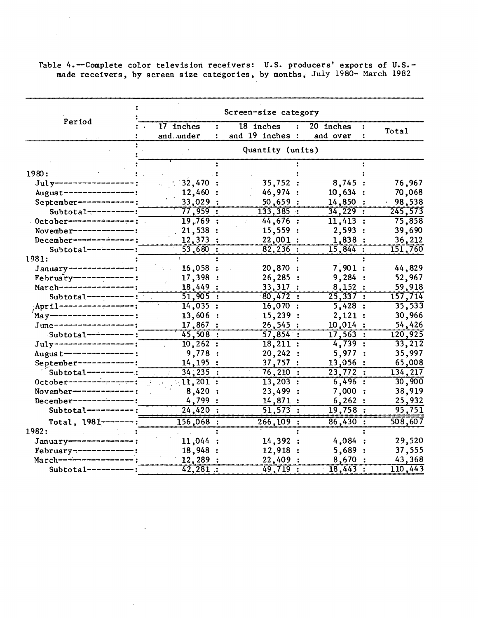Table 4.-Complete color television receivers: U.S. producers' exports of U.S.made receivers, by screen size categories, by months; July 1980- March 1982

|                         |             | Screen-size category          |                                |          |
|-------------------------|-------------|-------------------------------|--------------------------------|----------|
| Period                  | $17$ inches | $18$ inches<br>$\ddot{\cdot}$ | 20 inches<br>٠.                | Total    |
|                         | and under   | and 19 inches :               | and over                       |          |
|                         |             |                               |                                |          |
|                         |             |                               |                                |          |
| 1980:                   |             |                               |                                |          |
| $July---$               | 32,470      | 35,752:                       | 8,745                          | 76,967   |
|                         | 12,460      | 46,974                        | 10,634                         | 70,068   |
| September------------   | 33,029:     | 50,659:                       | 14,850                         | 98,538   |
| $Subtotal$ ---------:   | 77,959:     | 133,385:                      | $34,229$ :                     | 245,573  |
| October---------------; | 19,769:     | 44,676:                       | 11,413:                        | 75,858   |
| November---------       | 21,538:     | 15,559                        | 2,593:                         | 39,690   |
| December--------        | 12,373      | 22,001                        | 1,838                          | 36,212   |
| $Subtotal-----:$        | 53,680:     | $82,236$ :                    | $\overline{15,844}$ :          | 151,760  |
| 1981:                   |             |                               |                                |          |
| January-------          | 16,058      | 20,870                        | 7,901:                         | 44,829   |
| $Fehruary$ ------       | 17,398      | 26,285                        | 9,284                          | 52,967   |
| March-------------      | 18,449:     | 33,317:                       | 8,152:                         | 59,918   |
| Subtotal--------        | $51,905$ :  | 80,472:                       | 25,337:                        | 157,714  |
| April --------------    | 14,035:     | $16,070$ :                    | 5,428:                         | 35,533   |
| $May$ ————————————————— | 13,606      | 15,239:                       | 2,121:                         | 30,966   |
| June----------------    | 17,867      | 26,545:                       | 10,014:                        | 54,426   |
| $Subtotal-----$         | 45,508:     | 57,854:                       | 17,563:                        | 120,925  |
| July----------------    | $10, 262$ : | 18,211:                       | 4,739:                         | 33,212   |
| August-------------     | 9,778 :     | 20,242<br>$\mathbf{r}$        | 5,977                          | 35,997   |
| September-----------    | 14,195      | 37,757:                       | 13,056                         | 65,008   |
| Subtotal-------         | $34, 235$ : | 76, 210:                      | 23,772<br>$\ddot{\phantom{0}}$ | 134, 217 |
| October-----------      | $11,201$ :  | $13,203$ :                    | 6,496:                         | 30,900   |
| November---------       | 8,420       | 23,499                        | 7,000                          | 38,919   |
| December-----------     | 4,799       | 14,871                        | 6,262                          | 25,932   |
| Subtotal------          | 24,420:     | 51,573:                       | 19,758:                        | 95,751   |
| Total, $1981$ -------   | 156,068 :   | $266, 109$ :                  | 86,430:                        | 508,607  |
| 1982:                   |             |                               |                                |          |
| January---              | 11,044      | 14,392                        | 4,084                          | 29,520   |
| February---------       | 18,948:     | 12,918                        | 5,689                          | 37,555   |
| $March$ -------------   | 12,289:     | 22,409                        | 8,670                          | 43,368   |
| $Subtotal-----:$        | 42,281:     | $49,719$ :                    | $18,443$ :                     | 110,443  |

 $\sim$ 

 $\sim$ 

 $\mathcal{L}_{\rm{max}}$  ,  $\mathcal{L}_{\rm{max}}$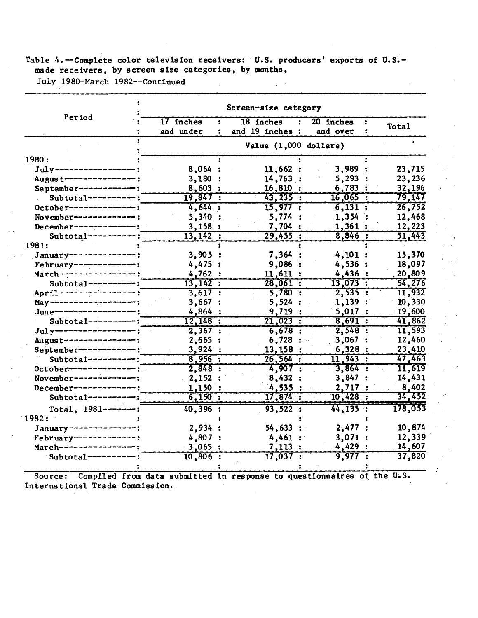## Table 4.-Complete color television receivers: U.S. producers' exports of U.S.made receivers, by screen size categories, by months,

 $\chi \to \gamma$ 

July 1980-March 1982--Continued

|                            | Screen-size category    |                              |                       |         |  |  |  |
|----------------------------|-------------------------|------------------------------|-----------------------|---------|--|--|--|
| Period                     | 17 inches<br>and under  | 18 inches<br>and 19 inches : | 20 inches<br>and over | Total   |  |  |  |
|                            | Value $(1,000$ dollars) |                              |                       |         |  |  |  |
| 1980:                      |                         |                              |                       |         |  |  |  |
| $July$ ---------           | 8,064:                  | 11,662:                      | 3,989:                | 23,715  |  |  |  |
| August---------------      | 3,180                   | 14,763:                      | 5,293:                | 23,236  |  |  |  |
| September----------        | 8,603:                  | 16,810:                      | 6,783:                | 32,196  |  |  |  |
| Subtotal----------         | 19,847:                 | 43, 235:                     | 16,065:               | 79,147  |  |  |  |
| $October-----$             | 4,644:                  | 15,977:                      | 6,131:                | 26,752  |  |  |  |
| November----------         | 5,340                   | 5,774:                       | 1,354:                | 12,468  |  |  |  |
| $December-----$            | 3,158:                  | 7.704 :                      | 1,361:                | 12,223  |  |  |  |
| Subtotal--------           | 13,142:                 | 29,455:                      | 8,846:                | 51,443  |  |  |  |
| 1981:                      |                         |                              |                       |         |  |  |  |
| $January$ ---------------; | 3,905                   | 7,364                        | 4,101:                | 15,370  |  |  |  |
| February-------------      | 4,475:                  | 9,086                        | 4,536:                | 18,097  |  |  |  |
| $March$ -----------------  | 4,762:                  | 11,611:                      | 4,436:                | 20,809  |  |  |  |
| $Subtotal-----:$           | 13,142:                 | 28,061:                      | 13,073:               | 54,276  |  |  |  |
| April -----------------;   | 3,617:                  | 5,780:                       | 2,535:                | 11,932  |  |  |  |
| May----------------        | 3,667:                  | 5,524:                       | 1,139:                | 10,330  |  |  |  |
| June-------------          | 4,864:                  | 9,719:                       | 5,017:                | 19,600  |  |  |  |
| Subtotal--------           | 12,148:                 | 21,023:                      | 8.691:                | 41,862  |  |  |  |
| $July$ ---------------     | 2,367:                  | 6,678:                       | 2,548:                | 11,593  |  |  |  |
| August--------------       | 2,665:                  | 6,728                        | 3,067                 | 12,460  |  |  |  |
| September------------;     | 3,924:                  | 13,158:                      | 6,328:                | 23,410  |  |  |  |
| $Subtotal-----$            | 8,956:                  | 26,564:                      | 11,943:               | 47,463  |  |  |  |
| $0ctober------------$      | 2,848:                  | 4,907:                       | $3,864$ :             | 11,619  |  |  |  |
| November-----------        | 2,152:                  | 8,432                        | 3,847                 | 14,431  |  |  |  |
| December----------         | 1,150:                  | 4,535:                       | 2,717                 | 8,402   |  |  |  |
| Subtotal------             | 6,150:                  | $17,874$ :                   | $10,428$ :            | 34,452  |  |  |  |
| Total, $1981$ -------:     | $40,396$ :              | 93,522:                      | 44, 135:              | 178,053 |  |  |  |
| 1982:                      |                         |                              |                       |         |  |  |  |
| January---------------     | 2,934:                  | 54,633                       | $2,477$ :             | 10,874  |  |  |  |
| $Febr uary$ -------------: | 4,807 :                 | $4,461$ :                    | 3,071:                | 12,339  |  |  |  |
| March--------------        | 3,065                   | 7,113:                       | 4,429:                | 14,607  |  |  |  |
| Subtotal---------          | $10,806$ :              | $\overline{17,037}$ :        | 9,977<br>$\mathbf{r}$ | 37,820  |  |  |  |
|                            |                         |                              |                       |         |  |  |  |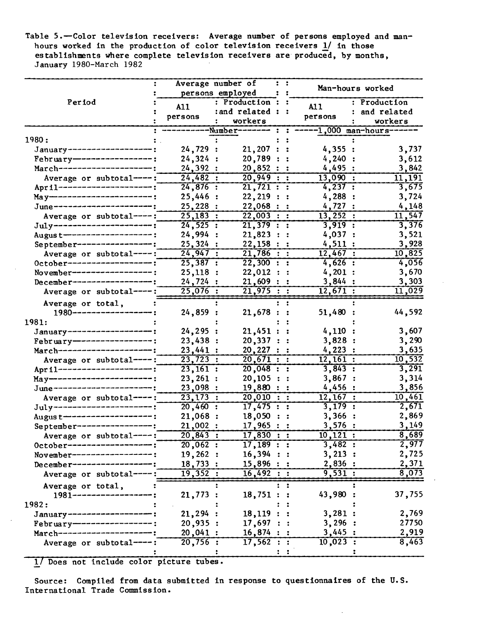Table 5.-Color television receivers: Average number of persons employed and manhours worked in the production of color television receivers 1/ in those establishments where complete television receivers are produced, by months, January 1980-March 1982

|                                                            |                       | Average number of       | $\mathbf{1}$   |            | Man-hours worked       |              |
|------------------------------------------------------------|-----------------------|-------------------------|----------------|------------|------------------------|--------------|
|                                                            | persons employed      |                         | $\mathbf{1}$   |            |                        |              |
| Period                                                     | A11                   | : Production : :        |                | <b>A11</b> |                        | : Production |
|                                                            |                       | : and related : :       |                |            |                        | and related  |
|                                                            | persons               | workers                 |                |            | persons                | workers      |
|                                                            |                       | -Number-------          | $\ddot{\cdot}$ |            | $---1,000$ man-hours-- |              |
| 1980:                                                      |                       |                         |                |            |                        |              |
| January-------------------                                 | 24,729:               | 21,207 : :              |                |            | 4,355:                 | 3,737        |
| February-----------------:                                 | 24,324:               | 20,789:                 |                |            | 4,240:                 | 3,612        |
| March---------------------;                                | 24,392:               | 20,852:                 |                |            | 4,495:                 | 3,842        |
| Average or subtotal ----:                                  | 24,482:               | 20,949:                 |                |            | 13,090:                | 11,191       |
| April ----------------------;                              | $24,876$ :            | $\overline{21,721}$ : : |                |            | 4,237:                 | 3,675        |
| May------------------------;                               | 25,446:               | 22, 219 ::              |                |            | 4,288:                 | 3,724        |
| June----------------------;                                | 25,228:               | 22,068 :: :             |                |            | 4,727:                 | 4,148        |
| Average or subtotal----:                                   | 25,183:               | 22,003 :: :             |                |            | 13,252:                | 11,547       |
| July-----------------------                                | 24,525:               | $21,379$ : :            |                |            | $3,919$ :              | 3,376        |
| Augus t--------------------- :                             | 24,994:               | 21,823 :: :             |                |            | 4,037 :                | 3,521        |
| September-----------------:                                | 25,324:               | 22,158:                 |                |            | 4,511:                 | 3,928        |
| Average or subtotal----:                                   | 24,947:               | 21,786 :: :             |                |            | 12,467:                | 10,825       |
| October-------------------;                                | 25,387:               | 22,300 ::               |                |            | $4,626$ :              | 4,056        |
| November-------------------:                               | 25,118:               | 22,012 :: :             |                |            | 4,201:                 | 3,670        |
| December-------------------:                               | 24,724:               | $21,609$ : :            |                |            | 3,844:                 | 3,303        |
| Average or subtotal----:                                   | $25,076$ :            | 21,975 ::               |                |            | 12,671:                | 11,029       |
|                                                            |                       |                         |                |            |                        |              |
| Average or total,<br>1980------------------:               |                       |                         | $\mathbf{H}$   |            |                        | 44,592       |
| 1981:                                                      | 24,859:               | 21,678:                 |                |            | 51,480:                |              |
| January-------------------;                                | 24, 295:              | $21,451$ : :            |                |            | 4,110:                 | 3,607        |
| February-------------------                                | 23,438:               | 20,337 : :              |                |            | 3,828:                 | 3,290        |
| March----------------------;                               | 23,441:               |                         |                |            | 4,223:                 | 3,635        |
|                                                            | 23,723:               | 20,227 : :<br>20,671:   |                |            | 12,161:                | 10,532       |
| Average or subtotal----:                                   |                       |                         |                |            | 3,843:                 | 3,291        |
| April---------------------;<br>May-----------------------; | 23,161:               | 20,048 : :              |                |            |                        | 3,314        |
| June-----------------------;                               | 23,261:               | 20,105 ::               |                |            | 3,867:<br>4,456:       | 3,856        |
|                                                            | 23,098:               | 19,880 :: :             |                |            |                        |              |
| Average or subtotal----:                                   | 23,173:               | 20,010 ::               |                |            | 12,167:                | 10,461       |
| July------------------------                               | $20,460$ :            | 17,475:                 |                |            | $3,179$ :              | 2,671        |
| Augus t--------------------:                               | 21,068:               | $18,050$ : :            |                |            | 3,366:                 | 2,869        |
| September------------------:                               | 21,002:               | $17,965$ : :            |                |            | 3,576:                 | 3,149        |
| Average or subtotal----:                                   | 20,843:               | $17,830$ : :            |                |            | 10, 121:               | 8,689        |
| 0ctober---------------                                     | $\overline{20,062}$ : | 17,189:                 |                |            | 3,482:                 | 2,977        |
| November----------------                                   | 19,262:               | 16,394 : :              |                |            | 3, 213 :               | 2,725        |
| December---------------                                    | 18,733:               | $15,896:$ :             |                |            | 2,836:                 | 2,371        |
| Average or subtotal----:                                   | 19,352:               | 16,492:                 |                |            | 9,531:                 | 8,073        |
| Average or total,                                          |                       |                         |                |            |                        |              |
| 1981---------------                                        | 21,773:               | 18,751:                 |                |            | 43,980                 | 37,755       |
| 1982:                                                      |                       |                         |                |            |                        |              |
| January------------------                                  | 21, 294:              | $18,119$ :              |                |            | 3,281:                 | 2,769        |
| February------------------;                                | 20,935:               | 17,697:                 |                |            | 3,296:                 | 27750        |
| March-------------------                                   | 20,041:               | $16,874$ : :            |                |            | 3,445:                 | 2,919        |
| Average or subtotal----:                                   | 20,756:               | 17,562 : :              |                |            | $10,023$ :             | 8,463        |
|                                                            |                       |                         |                |            |                        |              |

1/ Does not include color picture tubes.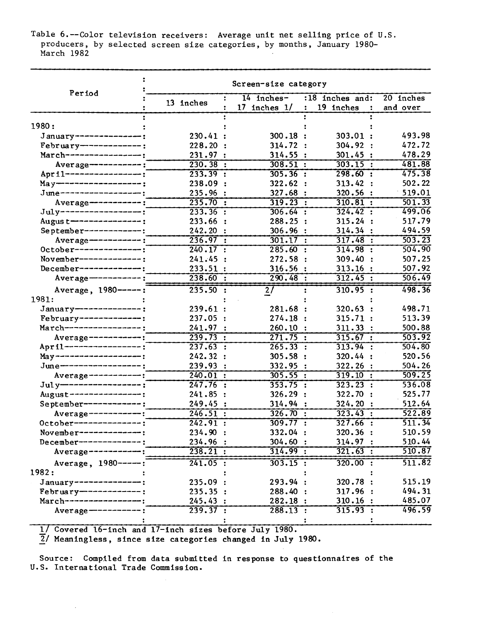Table 6.--Color television receivers: Average unit net selling price of U.S. producers, by selected screen size categories, by months, January 1980- March 1982

| Period                                       | Screen-size category   |                  |                                                     |           |  |  |  |
|----------------------------------------------|------------------------|------------------|-----------------------------------------------------|-----------|--|--|--|
|                                              | ÷<br>13 inches         | $14$ inches-     | :18 inches and:                                     | 20 inches |  |  |  |
|                                              |                        | $17$ inches $1/$ | 19 inches<br>$\ddot{\phantom{a}}$<br>$\ddot{\cdot}$ | and over  |  |  |  |
|                                              |                        |                  |                                                     |           |  |  |  |
| 1980:                                        |                        |                  |                                                     |           |  |  |  |
| January--------------:                       | 230.41:                | 300.18           | 303.01:                                             | 493.98    |  |  |  |
| February-------------:                       | 228.20:                | 314.72 :         | 304.92 :                                            | 472.72    |  |  |  |
| March-----------------;                      | 231.97:                | 314.55:          | 301.45:                                             | 478.29    |  |  |  |
| Average------------:                         | $\overline{230.38}$ :  | 308.51:          | 303.15 :                                            | 481.88    |  |  |  |
| April -----------------;                     | 233.39:                | 305.36:          | 298.60:                                             | 475.38    |  |  |  |
| May-------------------;                      | 238.09<br>$\mathbf{r}$ | 322.62:          | 313.42:                                             | 502.22    |  |  |  |
| June------------------;                      | 235.96                 | 327.68           | 320.56                                              | 519.01    |  |  |  |
| Average-----------:                          | 235.70:                | 319.23:          | 310.81:                                             | 501.33    |  |  |  |
| July------------------;                      | 233.36:                | $306.64$ :       | 324.42:                                             | 499.06    |  |  |  |
| Augus t---------------;                      | 233.66 :               | 288.25:          | 315.24:                                             | 517.79    |  |  |  |
| September-------------:                      | 242.20:                | 306.96           | 314.34 :                                            | 494.59    |  |  |  |
| $Average$ -----------;                       | 236.97:                | 301.17 :         | 317.48:                                             | 503.23    |  |  |  |
| October---------------;                      | 240.17:                | 285.60:          | 314.98:                                             | 504.90    |  |  |  |
| November--------------:                      | 241.45                 | 272.58:          | 309.40<br>$\cdot$                                   | 507.25    |  |  |  |
| December--------------                       | 233.51 :               | 316.56:          | 313.16:                                             | 507.92    |  |  |  |
| $Average \text{---} \text{---} \text{---}$ : | 238.60:                | 290.48:          | 312.45:                                             | 506.49    |  |  |  |
| Average, 1980 -----:                         | 235.50:                | 2/               | $310.95$ :                                          | 498.36    |  |  |  |
| 1981:                                        |                        |                  |                                                     |           |  |  |  |
| January---------------:                      | 239.61 :               | 281.68:          | 320.63:                                             | 498.71    |  |  |  |
| February--------------                       | 237.05:                | 274.18:          | 315.71:                                             | 513.39    |  |  |  |
| $March$ ----------------;                    | 241.97:                | 260.10:          | 311.33:                                             | 500.88    |  |  |  |
| Average------------;                         | 239.73 :               | 271.75:          | 315.67 :                                            | 503.92    |  |  |  |
| April ------------------                     | 237.63:                | 265.33 :         | 313.94 :                                            | 504.80    |  |  |  |
| May-------------------;                      | 242.32:                | 305.58:          | 320.44:                                             | 520.56    |  |  |  |
| June------------------;                      | 239.93<br>$\mathbf{r}$ | 332.95           | 322.26:                                             | 504.26    |  |  |  |
| Average------------;                         | 240.01:                | 305.55:          | 319.10 :                                            | 509.25    |  |  |  |
| Jul y------------------                      | 247.76:                | 353.75:          | 323.23:                                             | 536.08    |  |  |  |
| August----------------:                      | 241.85:                | 326.29:          | 322.70<br>$\cdot$                                   | 525.77    |  |  |  |
| September------------:                       | 249.45:                | 314.94           | 324.20                                              | 512.64    |  |  |  |
| $Average-----$                               | 246.51:                | 326.70:          | 323.43:                                             | 522.89    |  |  |  |
| October------------                          | 242.91:                | 309.77 :         | $327.66$ :                                          | 511.34    |  |  |  |
| November--------------:                      | 234.90 :               | 332.04 :         | 320.36:                                             | 510.59    |  |  |  |
| December--------------:                      | 234.96:                | 304.60 :         | 314.97:                                             | 510.44    |  |  |  |
| Average------------:                         | 238.21:                | 314.99:          | 321.63:                                             | 510.87    |  |  |  |
|                                              |                        |                  |                                                     |           |  |  |  |
| Average, 1980-----:                          | 241.05:                | $303.15$ :       | $320.00$ :                                          | 511.82    |  |  |  |
| 1982:                                        |                        |                  |                                                     |           |  |  |  |
| January---------------;                      | 235.09:                | 293.94:          | 320.78:                                             | 515.19    |  |  |  |
| February-------------;                       | 235.35:                | 288.40 :         | 317.96:                                             | 494.31    |  |  |  |
| March-----------------;                      | 245.43:                | 282.18:          | 310.16:                                             | 485.07    |  |  |  |
| Average $--------$                           | 239.37 :               | $288.13$ :       | 315.93 :                                            | 496.59    |  |  |  |
|                                              |                        |                  |                                                     |           |  |  |  |

1/ Covered 16-inch and 17-inch sizes before July 1980.

2/ Meaningless, since size categories changed in July 1980.